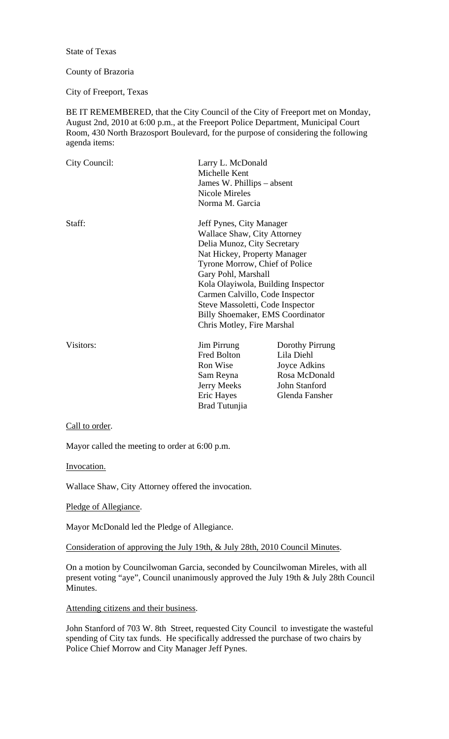State of Texas

## County of Brazoria

City of Freeport, Texas

BE IT REMEMBERED, that the City Council of the City of Freeport met on Monday, August 2nd, 2010 at 6:00 p.m., at the Freeport Police Department, Municipal Court Room, 430 North Brazosport Boulevard, for the purpose of considering the following agenda items:

| City Council: | Larry L. McDonald<br>Michelle Kent<br>James W. Phillips – absent<br>Nicole Mireles<br>Norma M. Garcia                                                                                                                                                                                                                                                                        |                                                                                                   |
|---------------|------------------------------------------------------------------------------------------------------------------------------------------------------------------------------------------------------------------------------------------------------------------------------------------------------------------------------------------------------------------------------|---------------------------------------------------------------------------------------------------|
| Staff:        | Jeff Pynes, City Manager<br><b>Wallace Shaw, City Attorney</b><br>Delia Munoz, City Secretary<br>Nat Hickey, Property Manager<br>Tyrone Morrow, Chief of Police<br>Gary Pohl, Marshall<br>Kola Olayiwola, Building Inspector<br>Carmen Calvillo, Code Inspector<br>Steve Massoletti, Code Inspector<br><b>Billy Shoemaker, EMS Coordinator</b><br>Chris Motley, Fire Marshal |                                                                                                   |
| Visitors:     | <b>Jim Pirrung</b><br>Fred Bolton<br>Ron Wise<br>Sam Reyna<br><b>Jerry Meeks</b><br>Eric Hayes<br>Brad Tutunjia                                                                                                                                                                                                                                                              | Dorothy Pirrung<br>Lila Diehl<br>Joyce Adkins<br>Rosa McDonald<br>John Stanford<br>Glenda Fansher |

Call to order.

Mayor called the meeting to order at 6:00 p.m.

Invocation.

Wallace Shaw, City Attorney offered the invocation.

Pledge of Allegiance.

Mayor McDonald led the Pledge of Allegiance.

Consideration of approving the July 19th, & July 28th, 2010 Council Minutes.

On a motion by Councilwoman Garcia, seconded by Councilwoman Mireles, with all present voting "aye", Council unanimously approved the July 19th & July 28th Council Minutes.

Attending citizens and their business.

John Stanford of 703 W. 8th Street, requested City Council to investigate the wasteful spending of City tax funds. He specifically addressed the purchase of two chairs by Police Chief Morrow and City Manager Jeff Pynes.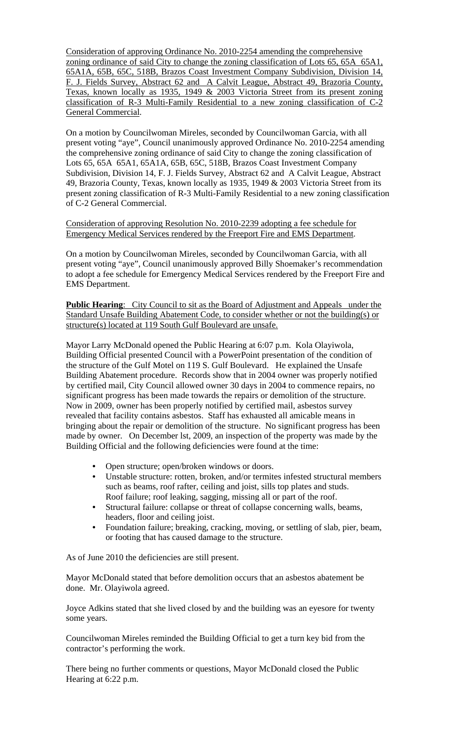Consideration of approving Ordinance No. 2010-2254 amending the comprehensive zoning ordinance of said City to change the zoning classification of Lots 65, 65A 65A1, 65A1A, 65B, 65C, 518B, Brazos Coast Investment Company Subdivision, Division 14, F. J. Fields Survey, Abstract 62 and A Calvit League, Abstract 49, Brazoria County, Texas, known locally as 1935, 1949 & 2003 Victoria Street from its present zoning classification of R-3 Multi-Family Residential to a new zoning classification of C-2 General Commercial.

On a motion by Councilwoman Mireles, seconded by Councilwoman Garcia, with all present voting "aye", Council unanimously approved Ordinance No. 2010-2254 amending the comprehensive zoning ordinance of said City to change the zoning classification of Lots 65, 65A 65A1, 65A1A, 65B, 65C, 518B, Brazos Coast Investment Company Subdivision, Division 14, F. J. Fields Survey, Abstract 62 and A Calvit League, Abstract 49, Brazoria County, Texas, known locally as 1935, 1949 & 2003 Victoria Street from its present zoning classification of R-3 Multi-Family Residential to a new zoning classification of C-2 General Commercial.

Consideration of approving Resolution No. 2010-2239 adopting a fee schedule for Emergency Medical Services rendered by the Freeport Fire and EMS Department.

On a motion by Councilwoman Mireles, seconded by Councilwoman Garcia, with all present voting "aye", Council unanimously approved Billy Shoemaker's recommendation to adopt a fee schedule for Emergency Medical Services rendered by the Freeport Fire and EMS Department.

**Public Hearing:** City Council to sit as the Board of Adjustment and Appeals under the Standard Unsafe Building Abatement Code, to consider whether or not the building(s) or structure(s) located at 119 South Gulf Boulevard are unsafe.

Mayor Larry McDonald opened the Public Hearing at 6:07 p.m. Kola Olayiwola, Building Official presented Council with a PowerPoint presentation of the condition of the structure of the Gulf Motel on 119 S. Gulf Boulevard. He explained the Unsafe Building Abatement procedure. Records show that in 2004 owner was properly notified by certified mail, City Council allowed owner 30 days in 2004 to commence repairs, no significant progress has been made towards the repairs or demolition of the structure. Now in 2009, owner has been properly notified by certified mail, asbestos survey revealed that facility contains asbestos. Staff has exhausted all amicable means in bringing about the repair or demolition of the structure. No significant progress has been made by owner. On December lst, 2009, an inspection of the property was made by the Building Official and the following deficiencies were found at the time:

- Open structure; open/broken windows or doors.
- Unstable structure: rotten, broken, and/or termites infested structural members such as beams, roof rafter, ceiling and joist, sills top plates and studs. Roof failure; roof leaking, sagging, missing all or part of the roof.
- Structural failure: collapse or threat of collapse concerning walls, beams, headers, floor and ceiling joist.
- Foundation failure; breaking, cracking, moving, or settling of slab, pier, beam, or footing that has caused damage to the structure.

As of June 2010 the deficiencies are still present.

Mayor McDonald stated that before demolition occurs that an asbestos abatement be done. Mr. Olayiwola agreed.

Joyce Adkins stated that she lived closed by and the building was an eyesore for twenty some years.

Councilwoman Mireles reminded the Building Official to get a turn key bid from the contractor's performing the work.

There being no further comments or questions, Mayor McDonald closed the Public Hearing at 6:22 p.m.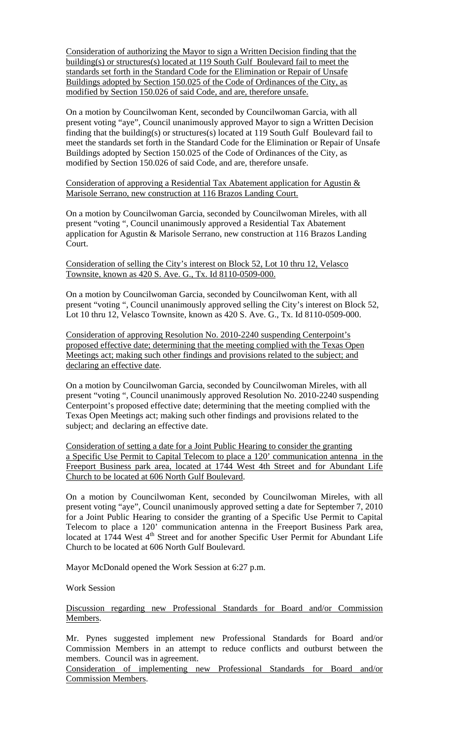Consideration of authorizing the Mayor to sign a Written Decision finding that the building(s) or structures(s) located at 119 South Gulf Boulevard fail to meet the standards set forth in the Standard Code for the Elimination or Repair of Unsafe Buildings adopted by Section 150.025 of the Code of Ordinances of the City, as modified by Section 150.026 of said Code, and are, therefore unsafe.

On a motion by Councilwoman Kent, seconded by Councilwoman Garcia, with all present voting "aye", Council unanimously approved Mayor to sign a Written Decision finding that the building(s) or structures(s) located at 119 South Gulf Boulevard fail to meet the standards set forth in the Standard Code for the Elimination or Repair of Unsafe Buildings adopted by Section 150.025 of the Code of Ordinances of the City, as modified by Section 150.026 of said Code, and are, therefore unsafe.

## Consideration of approving a Residential Tax Abatement application for Agustin & Marisole Serrano, new construction at 116 Brazos Landing Court.

On a motion by Councilwoman Garcia, seconded by Councilwoman Mireles, with all present "voting ", Council unanimously approved a Residential Tax Abatement application for Agustin & Marisole Serrano, new construction at 116 Brazos Landing Court.

Consideration of selling the City's interest on Block 52, Lot 10 thru 12, Velasco Townsite, known as 420 S. Ave. G., Tx. Id 8110-0509-000.

On a motion by Councilwoman Garcia, seconded by Councilwoman Kent, with all present "voting ", Council unanimously approved selling the City's interest on Block 52, Lot 10 thru 12, Velasco Townsite, known as 420 S. Ave. G., Tx. Id 8110-0509-000.

Consideration of approving Resolution No. 2010-2240 suspending Centerpoint's proposed effective date; determining that the meeting complied with the Texas Open Meetings act; making such other findings and provisions related to the subject; and declaring an effective date.

On a motion by Councilwoman Garcia, seconded by Councilwoman Mireles, with all present "voting ", Council unanimously approved Resolution No. 2010-2240 suspending Centerpoint's proposed effective date; determining that the meeting complied with the Texas Open Meetings act; making such other findings and provisions related to the subject; and declaring an effective date.

Consideration of setting a date for a Joint Public Hearing to consider the granting a Specific Use Permit to Capital Telecom to place a 120' communication antenna in the Freeport Business park area, located at 1744 West 4th Street and for Abundant Life Church to be located at 606 North Gulf Boulevard.

On a motion by Councilwoman Kent, seconded by Councilwoman Mireles, with all present voting "aye", Council unanimously approved setting a date for September 7, 2010 for a Joint Public Hearing to consider the granting of a Specific Use Permit to Capital Telecom to place a 120' communication antenna in the Freeport Business Park area, located at 1744 West 4<sup>th</sup> Street and for another Specific User Permit for Abundant Life Church to be located at 606 North Gulf Boulevard.

Mayor McDonald opened the Work Session at 6:27 p.m.

Work Session

Discussion regarding new Professional Standards for Board and/or Commission Members.

Mr. Pynes suggested implement new Professional Standards for Board and/or Commission Members in an attempt to reduce conflicts and outburst between the members. Council was in agreement.

Consideration of implementing new Professional Standards for Board and/or Commission Members.